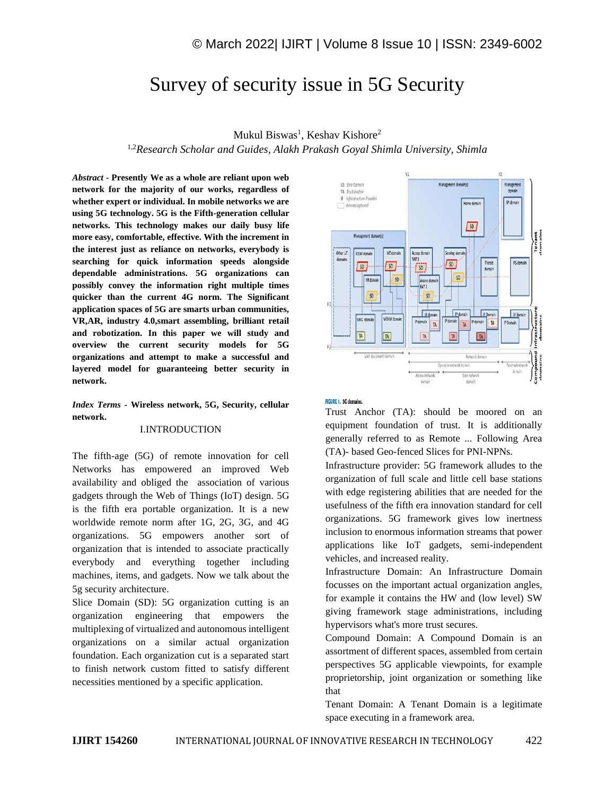# Survey of security issue in 5G Security

# Mukul Biswas<sup>1</sup>, Keshav Kishore<sup>2</sup>

1,2*Research Scholar and Guides, Alakh Prakash Goyal Shimla University, Shimla*

*Abstract -* **Presently We as a whole are reliant upon web network for the majority of our works, regardless of whether expert or individual. In mobile networks we are using 5G technology. 5G is the Fifth-generation cellular networks. This technology makes our daily busy life more easy, comfortable, effective. With the increment in the interest just as reliance on networks, everybody is searching for quick information speeds alongside dependable administrations. 5G organizations can possibly convey the information right multiple times quicker than the current 4G norm. The Significant application spaces of 5G are smarts urban communities, VR,AR, industry 4.0,smart assembling, brilliant retail and robotization. In this paper we will study and overview the current security models for 5G organizations and attempt to make a successful and layered model for guaranteeing better security in network.**

#### *Index Terms -* **Wireless network, 5G, Security, cellular network.**

#### I.INTRODUCTION

The fifth-age (5G) of remote innovation for cell Networks has empowered an improved Web availability and obliged the association of various gadgets through the Web of Things (IoT) design. 5G is the fifth era portable organization. It is a new worldwide remote norm after 1G, 2G, 3G, and 4G organizations. 5G empowers another sort of organization that is intended to associate practically everybody and everything together including machines, items, and gadgets. Now we talk about the 5g security architecture.

Slice Domain (SD): 5G organization cutting is an organization engineering that empowers the multiplexing of virtualized and autonomous intelligent organizations on a similar actual organization foundation. Each organization cut is a separated start to finish network custom fitted to satisfy different necessities mentioned by a specific application.



#### **FIGURE 1. 5G domains.**

Trust Anchor (TA): should be moored on an equipment foundation of trust. It is additionally generally referred to as Remote ... Following Area (TA)- based Geo-fenced Slices for PNI-NPNs.

Infrastructure provider: 5G framework alludes to the organization of full scale and little cell base stations with edge registering abilities that are needed for the usefulness of the fifth era innovation standard for cell organizations. 5G framework gives low inertness inclusion to enormous information streams that power applications like IoT gadgets, semi-independent vehicles, and increased reality.

Infrastructure Domain: An Infrastructure Domain focusses on the important actual organization angles, for example it contains the HW and (low level) SW giving framework stage administrations, including hypervisors what's more trust secures.

Compound Domain: A Compound Domain is an assortment of different spaces, assembled from certain perspectives 5G applicable viewpoints, for example proprietorship, joint organization or something like that

Tenant Domain: A Tenant Domain is a legitimate space executing in a framework area.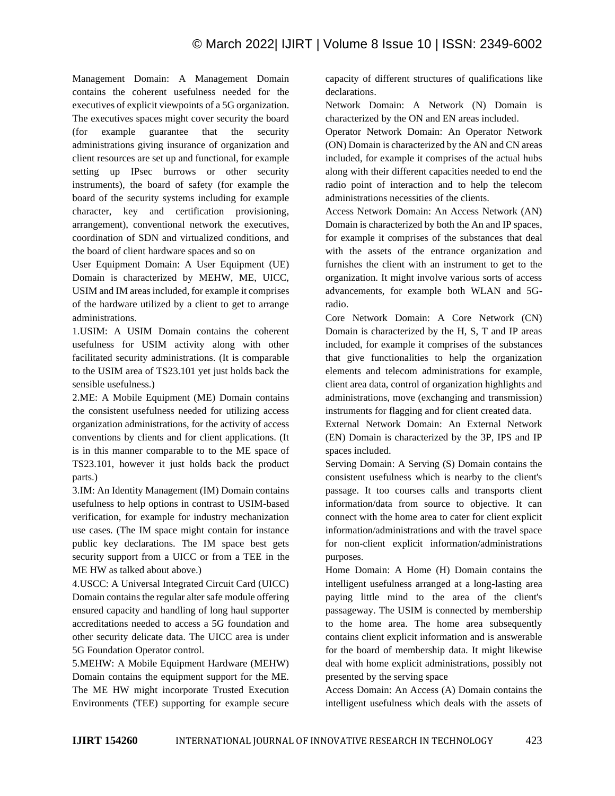Management Domain: A Management Domain contains the coherent usefulness needed for the executives of explicit viewpoints of a 5G organization. The executives spaces might cover security the board (for example guarantee that the security administrations giving insurance of organization and client resources are set up and functional, for example setting up IPsec burrows or other security instruments), the board of safety (for example the board of the security systems including for example character, key and certification provisioning, arrangement), conventional network the executives, coordination of SDN and virtualized conditions, and the board of client hardware spaces and so on

User Equipment Domain: A User Equipment (UE) Domain is characterized by MEHW, ME, UICC, USIM and IM areas included, for example it comprises of the hardware utilized by a client to get to arrange administrations.

1.USIM: A USIM Domain contains the coherent usefulness for USIM activity along with other facilitated security administrations. (It is comparable to the USIM area of TS23.101 yet just holds back the sensible usefulness.)

2.ME: A Mobile Equipment (ME) Domain contains the consistent usefulness needed for utilizing access organization administrations, for the activity of access conventions by clients and for client applications. (It is in this manner comparable to to the ME space of TS23.101, however it just holds back the product parts.)

3.IM: An Identity Management (IM) Domain contains usefulness to help options in contrast to USIM-based verification, for example for industry mechanization use cases. (The IM space might contain for instance public key declarations. The IM space best gets security support from a UICC or from a TEE in the ME HW as talked about above.)

4.USCC: A Universal Integrated Circuit Card (UICC) Domain contains the regular alter safe module offering ensured capacity and handling of long haul supporter accreditations needed to access a 5G foundation and other security delicate data. The UICC area is under 5G Foundation Operator control.

5.MEHW: A Mobile Equipment Hardware (MEHW) Domain contains the equipment support for the ME. The ME HW might incorporate Trusted Execution Environments (TEE) supporting for example secure capacity of different structures of qualifications like declarations.

Network Domain: A Network (N) Domain is characterized by the ON and EN areas included.

Operator Network Domain: An Operator Network (ON) Domain is characterized by the AN and CN areas included, for example it comprises of the actual hubs along with their different capacities needed to end the radio point of interaction and to help the telecom administrations necessities of the clients.

Access Network Domain: An Access Network (AN) Domain is characterized by both the An and IP spaces, for example it comprises of the substances that deal with the assets of the entrance organization and furnishes the client with an instrument to get to the organization. It might involve various sorts of access advancements, for example both WLAN and 5Gradio.

Core Network Domain: A Core Network (CN) Domain is characterized by the H, S, T and IP areas included, for example it comprises of the substances that give functionalities to help the organization elements and telecom administrations for example, client area data, control of organization highlights and administrations, move (exchanging and transmission) instruments for flagging and for client created data.

External Network Domain: An External Network (EN) Domain is characterized by the 3P, IPS and IP spaces included.

Serving Domain: A Serving (S) Domain contains the consistent usefulness which is nearby to the client's passage. It too courses calls and transports client information/data from source to objective. It can connect with the home area to cater for client explicit information/administrations and with the travel space for non-client explicit information/administrations purposes.

Home Domain: A Home (H) Domain contains the intelligent usefulness arranged at a long-lasting area paying little mind to the area of the client's passageway. The USIM is connected by membership to the home area. The home area subsequently contains client explicit information and is answerable for the board of membership data. It might likewise deal with home explicit administrations, possibly not presented by the serving space

Access Domain: An Access (A) Domain contains the intelligent usefulness which deals with the assets of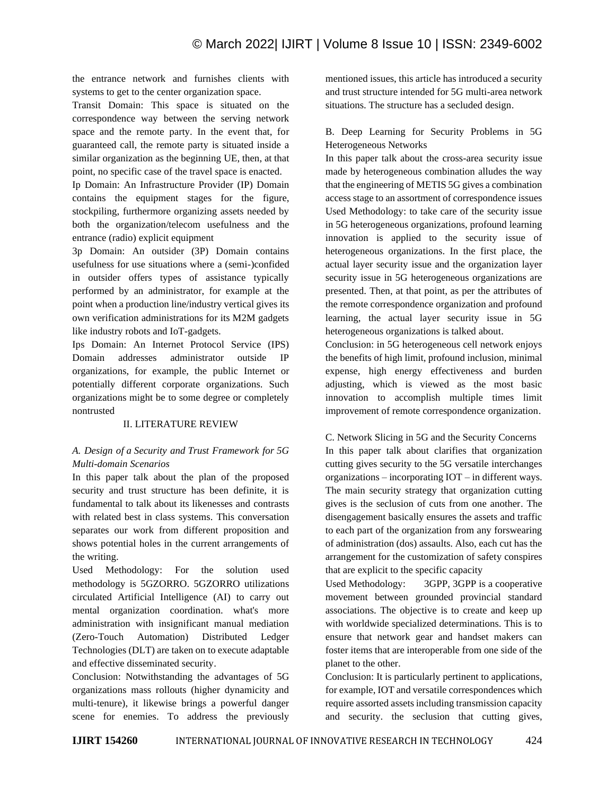the entrance network and furnishes clients with systems to get to the center organization space.

Transit Domain: This space is situated on the correspondence way between the serving network space and the remote party. In the event that, for guaranteed call, the remote party is situated inside a similar organization as the beginning UE, then, at that point, no specific case of the travel space is enacted.

Ip Domain: An Infrastructure Provider (IP) Domain contains the equipment stages for the figure, stockpiling, furthermore organizing assets needed by both the organization/telecom usefulness and the entrance (radio) explicit equipment

3p Domain: An outsider (3P) Domain contains usefulness for use situations where a (semi-)confided in outsider offers types of assistance typically performed by an administrator, for example at the point when a production line/industry vertical gives its own verification administrations for its M2M gadgets like industry robots and IoT-gadgets.

Ips Domain: An Internet Protocol Service (IPS) Domain addresses administrator outside IP organizations, for example, the public Internet or potentially different corporate organizations. Such organizations might be to some degree or completely nontrusted

#### II. LITERATURE REVIEW

# *A. Design of a Security and Trust Framework for 5G Multi-domain Scenarios*

In this paper talk about the plan of the proposed security and trust structure has been definite, it is fundamental to talk about its likenesses and contrasts with related best in class systems. This conversation separates our work from different proposition and shows potential holes in the current arrangements of the writing.

Used Methodology: For the solution used methodology is 5GZORRO. 5GZORRO utilizations circulated Artificial Intelligence (AI) to carry out mental organization coordination. what's more administration with insignificant manual mediation (Zero-Touch Automation) Distributed Ledger Technologies (DLT) are taken on to execute adaptable and effective disseminated security.

Conclusion: Notwithstanding the advantages of 5G organizations mass rollouts (higher dynamicity and multi-tenure), it likewise brings a powerful danger scene for enemies. To address the previously mentioned issues, this article has introduced a security and trust structure intended for 5G multi-area network situations. The structure has a secluded design.

B. Deep Learning for Security Problems in 5G Heterogeneous Networks

In this paper talk about the cross-area security issue made by heterogeneous combination alludes the way that the engineering of METIS 5G gives a combination access stage to an assortment of correspondence issues Used Methodology: to take care of the security issue in 5G heterogeneous organizations, profound learning innovation is applied to the security issue of heterogeneous organizations. In the first place, the actual layer security issue and the organization layer security issue in 5G heterogeneous organizations are presented. Then, at that point, as per the attributes of the remote correspondence organization and profound learning, the actual layer security issue in 5G heterogeneous organizations is talked about.

Conclusion: in 5G heterogeneous cell network enjoys the benefits of high limit, profound inclusion, minimal expense, high energy effectiveness and burden adjusting, which is viewed as the most basic innovation to accomplish multiple times limit improvement of remote correspondence organization.

C. Network Slicing in 5G and the Security Concerns In this paper talk about clarifies that organization cutting gives security to the 5G versatile interchanges organizations – incorporating IOT – in different ways. The main security strategy that organization cutting gives is the seclusion of cuts from one another. The disengagement basically ensures the assets and traffic to each part of the organization from any forswearing of administration (dos) assaults. Also, each cut has the arrangement for the customization of safety conspires that are explicit to the specific capacity

Used Methodology: 3GPP, 3GPP is a cooperative movement between grounded provincial standard associations. The objective is to create and keep up with worldwide specialized determinations. This is to ensure that network gear and handset makers can foster items that are interoperable from one side of the planet to the other.

Conclusion: It is particularly pertinent to applications, for example, IOT and versatile correspondences which require assorted assets including transmission capacity and security. the seclusion that cutting gives,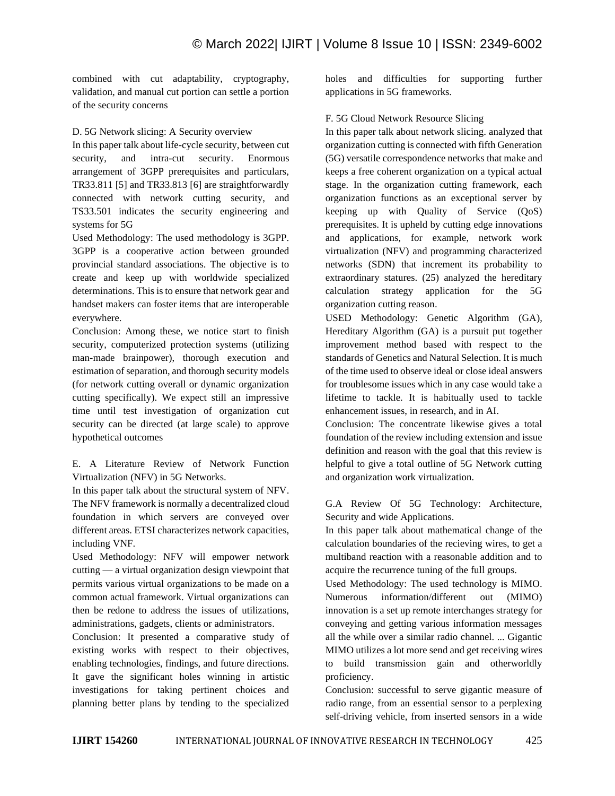combined with cut adaptability, cryptography, validation, and manual cut portion can settle a portion of the security concerns

#### D. 5G Network slicing: A Security overview

In this paper talk about life-cycle security, between cut security, and intra-cut security. Enormous arrangement of 3GPP prerequisites and particulars, TR33.811 [5] and TR33.813 [6] are straightforwardly connected with network cutting security, and TS33.501 indicates the security engineering and systems for 5G

Used Methodology: The used methodology is 3GPP. 3GPP is a cooperative action between grounded provincial standard associations. The objective is to create and keep up with worldwide specialized determinations. This is to ensure that network gear and handset makers can foster items that are interoperable everywhere.

Conclusion: Among these, we notice start to finish security, computerized protection systems (utilizing man-made brainpower), thorough execution and estimation of separation, and thorough security models (for network cutting overall or dynamic organization cutting specifically). We expect still an impressive time until test investigation of organization cut security can be directed (at large scale) to approve hypothetical outcomes

E. A Literature Review of Network Function Virtualization (NFV) in 5G Networks.

In this paper talk about the structural system of NFV. The NFV framework is normally a decentralized cloud foundation in which servers are conveyed over different areas. ETSI characterizes network capacities, including VNF.

Used Methodology: NFV will empower network cutting — a virtual organization design viewpoint that permits various virtual organizations to be made on a common actual framework. Virtual organizations can then be redone to address the issues of utilizations, administrations, gadgets, clients or administrators.

Conclusion: It presented a comparative study of existing works with respect to their objectives, enabling technologies, findings, and future directions. It gave the significant holes winning in artistic investigations for taking pertinent choices and planning better plans by tending to the specialized

holes and difficulties for supporting further applications in 5G frameworks.

#### F. 5G Cloud Network Resource Slicing

In this paper talk about network slicing. analyzed that organization cutting is connected with fifth Generation (5G) versatile correspondence networks that make and keeps a free coherent organization on a typical actual stage. In the organization cutting framework, each organization functions as an exceptional server by keeping up with Quality of Service (QoS) prerequisites. It is upheld by cutting edge innovations and applications, for example, network work virtualization (NFV) and programming characterized networks (SDN) that increment its probability to extraordinary statures. (25) analyzed the hereditary calculation strategy application for the 5G organization cutting reason.

USED Methodology: Genetic Algorithm (GA), Hereditary Algorithm (GA) is a pursuit put together improvement method based with respect to the standards of Genetics and Natural Selection. It is much of the time used to observe ideal or close ideal answers for troublesome issues which in any case would take a lifetime to tackle. It is habitually used to tackle enhancement issues, in research, and in AI.

Conclusion: The concentrate likewise gives a total foundation of the review including extension and issue definition and reason with the goal that this review is helpful to give a total outline of 5G Network cutting and organization work virtualization.

G.A Review Of 5G Technology: Architecture, Security and wide Applications.

In this paper talk about mathematical change of the calculation boundaries of the recieving wires, to get a multiband reaction with a reasonable addition and to acquire the recurrence tuning of the full groups.

Used Methodology: The used technology is MIMO. Numerous information/different out (MIMO) innovation is a set up remote interchanges strategy for conveying and getting various information messages all the while over a similar radio channel. ... Gigantic MIMO utilizes a lot more send and get receiving wires to build transmission gain and otherworldly proficiency.

Conclusion: successful to serve gigantic measure of radio range, from an essential sensor to a perplexing self-driving vehicle, from inserted sensors in a wide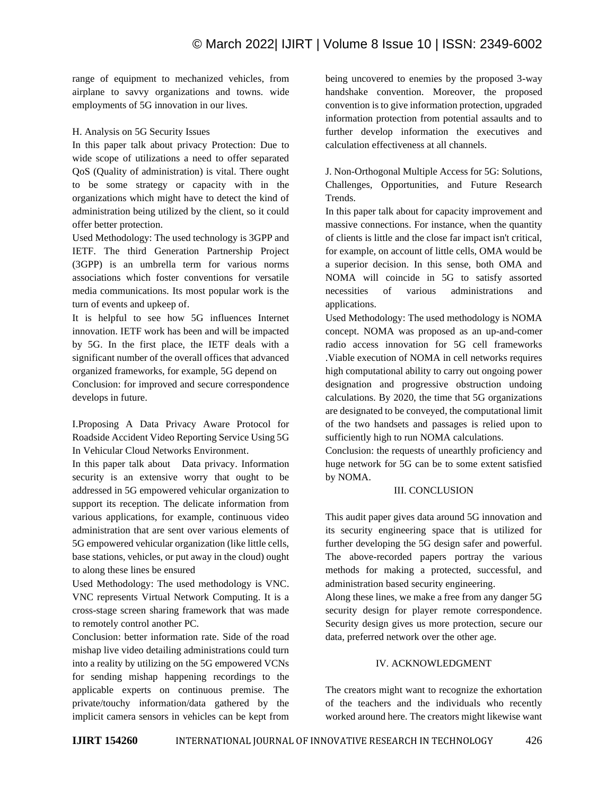range of equipment to mechanized vehicles, from airplane to savvy organizations and towns. wide employments of 5G innovation in our lives.

### H. Analysis on 5G Security Issues

In this paper talk about privacy Protection: Due to wide scope of utilizations a need to offer separated QoS (Quality of administration) is vital. There ought to be some strategy or capacity with in the organizations which might have to detect the kind of administration being utilized by the client, so it could offer better protection.

Used Methodology: The used technology is 3GPP and IETF. The third Generation Partnership Project (3GPP) is an umbrella term for various norms associations which foster conventions for versatile media communications. Its most popular work is the turn of events and upkeep of.

It is helpful to see how 5G influences Internet innovation. IETF work has been and will be impacted by 5G. In the first place, the IETF deals with a significant number of the overall offices that advanced organized frameworks, for example, 5G depend on Conclusion: for improved and secure correspondence develops in future.

I.Proposing A Data Privacy Aware Protocol for Roadside Accident Video Reporting Service Using 5G In Vehicular Cloud Networks Environment.

In this paper talk about Data privacy. Information security is an extensive worry that ought to be addressed in 5G empowered vehicular organization to support its reception. The delicate information from various applications, for example, continuous video administration that are sent over various elements of 5G empowered vehicular organization (like little cells, base stations, vehicles, or put away in the cloud) ought to along these lines be ensured

Used Methodology: The used methodology is VNC. VNC represents Virtual Network Computing. It is a cross-stage screen sharing framework that was made to remotely control another PC.

Conclusion: better information rate. Side of the road mishap live video detailing administrations could turn into a reality by utilizing on the 5G empowered VCNs for sending mishap happening recordings to the applicable experts on continuous premise. The private/touchy information/data gathered by the implicit camera sensors in vehicles can be kept from

being uncovered to enemies by the proposed 3-way handshake convention. Moreover, the proposed convention is to give information protection, upgraded information protection from potential assaults and to further develop information the executives and calculation effectiveness at all channels.

J. Non-Orthogonal Multiple Access for 5G: Solutions, Challenges, Opportunities, and Future Research Trends.

In this paper talk about for capacity improvement and massive connections. For instance, when the quantity of clients is little and the close far impact isn't critical, for example, on account of little cells, OMA would be a superior decision. In this sense, both OMA and NOMA will coincide in 5G to satisfy assorted necessities of various administrations and applications.

Used Methodology: The used methodology is NOMA concept. NOMA was proposed as an up-and-comer radio access innovation for 5G cell frameworks .Viable execution of NOMA in cell networks requires high computational ability to carry out ongoing power designation and progressive obstruction undoing calculations. By 2020, the time that 5G organizations are designated to be conveyed, the computational limit of the two handsets and passages is relied upon to sufficiently high to run NOMA calculations.

Conclusion: the requests of unearthly proficiency and huge network for 5G can be to some extent satisfied by NOMA.

# III. CONCLUSION

This audit paper gives data around 5G innovation and its security engineering space that is utilized for further developing the 5G design safer and powerful. The above-recorded papers portray the various methods for making a protected, successful, and administration based security engineering.

Along these lines, we make a free from any danger 5G security design for player remote correspondence. Security design gives us more protection, secure our data, preferred network over the other age.

# IV. ACKNOWLEDGMENT

The creators might want to recognize the exhortation of the teachers and the individuals who recently worked around here. The creators might likewise want